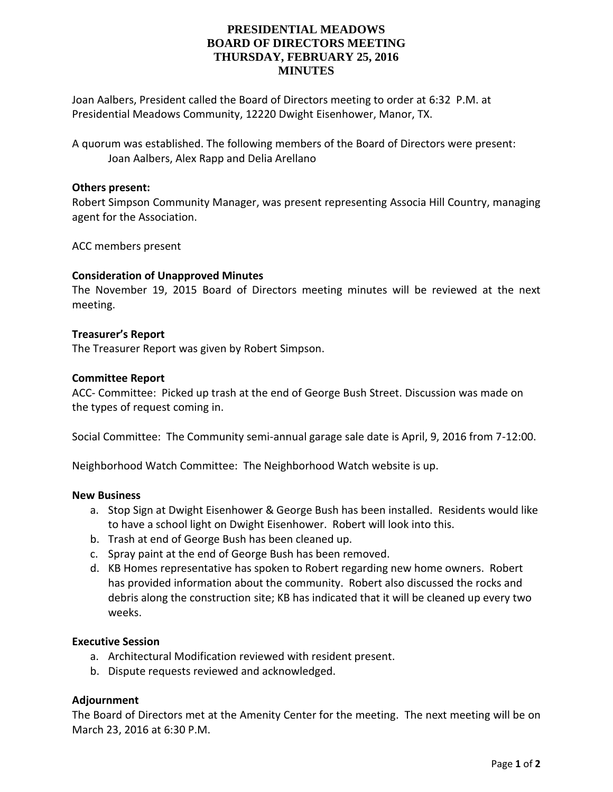## **PRESIDENTIAL MEADOWS BOARD OF DIRECTORS MEETING THURSDAY, FEBRUARY 25, 2016 MINUTES**

Joan Aalbers, President called the Board of Directors meeting to order at 6:32 P.M. at Presidential Meadows Community, 12220 Dwight Eisenhower, Manor, TX.

A quorum was established. The following members of the Board of Directors were present: Joan Aalbers, Alex Rapp and Delia Arellano

#### **Others present:**

Robert Simpson Community Manager, was present representing Associa Hill Country, managing agent for the Association.

ACC members present

## **Consideration of Unapproved Minutes**

The November 19, 2015 Board of Directors meeting minutes will be reviewed at the next meeting.

#### **Treasurer's Report**

The Treasurer Report was given by Robert Simpson.

#### **Committee Report**

ACC- Committee: Picked up trash at the end of George Bush Street. Discussion was made on the types of request coming in.

Social Committee: The Community semi-annual garage sale date is April, 9, 2016 from 7-12:00.

Neighborhood Watch Committee: The Neighborhood Watch website is up.

#### **New Business**

- a. Stop Sign at Dwight Eisenhower & George Bush has been installed. Residents would like to have a school light on Dwight Eisenhower. Robert will look into this.
- b. Trash at end of George Bush has been cleaned up.
- c. Spray paint at the end of George Bush has been removed.
- d. KB Homes representative has spoken to Robert regarding new home owners. Robert has provided information about the community. Robert also discussed the rocks and debris along the construction site; KB has indicated that it will be cleaned up every two weeks.

#### **Executive Session**

- a. Architectural Modification reviewed with resident present.
- b. Dispute requests reviewed and acknowledged.

## **Adjournment**

The Board of Directors met at the Amenity Center for the meeting. The next meeting will be on March 23, 2016 at 6:30 P.M.